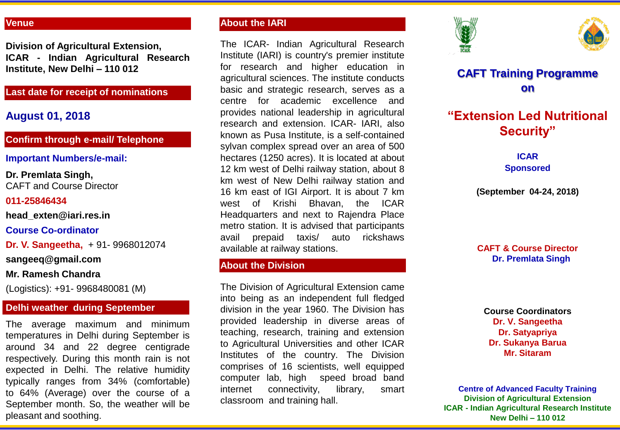#### **Venue**

**Division of Agricultural Extension, ICAR - Indian Agricultural Research Institute, New Delhi – 110 012**

## **Last date for receipt of nominations**

## **August 01, 2018**

## **Confirm through e-mail/ Telephone**

#### **Important Numbers/e-mail:**

#### **Dr. Premlata Singh,** CAFT and Course Director

#### **011-25846434**

**head\_exten@iari.res.in**

#### **Course Co-ordinator**

**Dr. V. Sangeetha,** + 91- 9968012074

**sangeeq@gmail.com**

### **Mr. Ramesh Chandra**

(Logistics): +91- 9968480081 (M)

## **Delhi weather during September**

The average maximum and minimum temperatures in Delhi during September is around 34 and 22 degree centigrade respectively. During this month rain is not expected in Delhi. The relative humidity typically ranges from 34% (comfortable) to 64% (Average) over the course of a September month. So, the weather will be pleasant and soothing.

## **About the IARI**

The ICAR- Indian Agricultural Research Institute (IARI) is country's premier institute for research and higher education in agricultural sciences. The institute conducts basic and strategic research, serves as a centre for academic excellence and provides national leadership in agricultural research and extension. ICAR- IARI, also known as Pusa Institute, is a self-contained sylvan complex spread over an area of 500 hectares (1250 acres). It is located at about 12 km west of Delhi railway station, about 8 km west of New Delhi railway station and 16 km east of IGI Airport. It is about 7 km west of Krishi Bhavan, the ICAR Headquarters and next to Rajendra Place metro station. It is advised that participants avail prepaid taxis/ auto rickshaws available at railway stations.

## **About the Division**

The Division of Agricultural Extension came into being as an independent full fledged division in the year 1960. The Division has provided leadership in diverse areas of teaching, research, training and extension to Agricultural Universities and other ICAR Institutes of the country. The Division comprises of 16 scientists, well equipped computer lab, high speed broad band internet connectivity, library, smart classroom and training hall.





## **CAFT Training Programme on**

# **"Extension Led Nutritional Security"**

**ICAR Sponsored**

**(September 04-24, 2018)**

### **CAFT & Course Director Dr. Premlata Singh**

**Course Coordinators Dr. V. Sangeetha Dr. Satyapriya Dr. Sukanya Barua Mr. Sitaram**

**Centre of Advanced Faculty Training Division of Agricultural Extension ICAR - Indian Agricultural Research Institute New Delhi – 110 012**